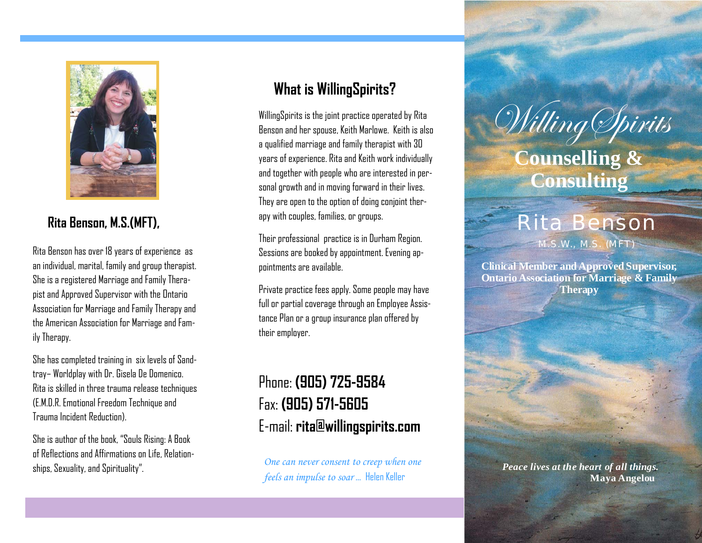

## **Rita Benson, M.S.(MFT),**

Rita Benson has over 18 years of experience as an individual, marital, family and group therapist. She is a registered Marriage and Family Therapist and Approved Supervisor with the Ontario Association for Marriage and Family Therapy and the American Association for Marriage and Family Therapy.

She has completed training in six levels of Sandtray– Worldplay with Dr. Gisela De Domenico. Rita is skilled in three trauma release techniques (E.M.D.R. Emotional Freedom Technique and Trauma Incident Reduction).

She is author of the book, "Souls Rising: A Book of Reflections and Affirmations on Life, Relationships, Sexuality, and Spirituality".

## **What is WillingSpirits?**

WillingSpirits is the joint practice operated by Rita Benson and her spouse, Keith Marlowe. Keith is also a qualified marriage and family therapist with 30 years of experience. Rita and Keith work individually and together with people who are interested in personal growth and in moving forward in their lives. They are open to the option of doing conjoint therapy with couples, families, or groups.

Their professional practice is in Durham Region. Sessions are booked by appointment. Evening appointments are available.

Private practice fees apply. Some people may have full or partial coverage through an Employee Assistance Plan or a group insurance plan offered by their employer.

# Phone: **(905) 725-9584** Fax: **(905) 571-5605** E-mail: **rita@willingspirits.com**

*One can never consent to creep when one feels an impulse to soar* … Helen Keller

# Willing *Spirits* **Counselling & Consulting**

# Rita Benson

M.S.W., M.S. (MFT)

**Clinical Member and Approved Supervisor, Ontario Association for Marriage & Family Therapy**

> *Peace lives at the heart of all things.* **Maya Angelou**